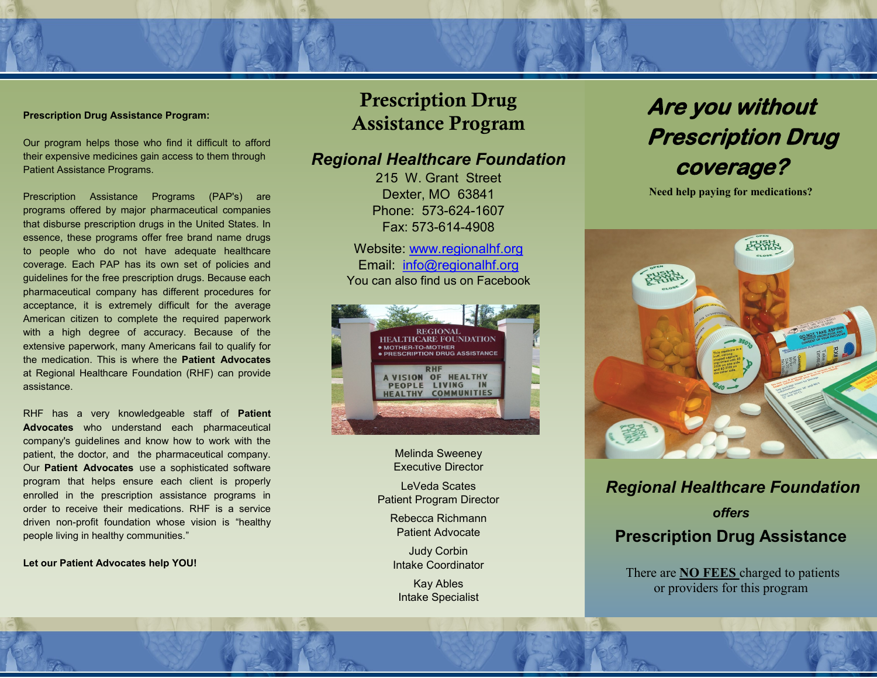#### **Prescription Drug Assistance Program:**

Our program helps those who find it difficult to afford their expensive medicines gain access to them through Patient Assistance Programs.

Prescription Assistance Programs (PAP's) are programs offered by major pharmaceutical companies that disburse prescription drugs in the United States. In essence, these programs offer free brand name drugs to people who do not have adequate healthcare coverage. Each PAP has its own set of policies and guidelines for the free prescription drugs. Because each pharmaceutical company has different procedures for acceptance, it is extremely difficult for the average American citizen to complete the required paperwork with a high degree of accuracy. Because of the extensive paperwork, many Americans fail to qualify for the medication. This is where the **Patient Advocates**  at Regional Healthcare Foundation (RHF) can provide assistance.

RHF has a very knowledgeable staff of **Patient Advocates** who understand each pharmaceutical company's guidelines and know how to work with the patient, the doctor, and the pharmaceutical company. Our **Patient Advocates** use a sophisticated software program that helps ensure each client is properly enrolled in the prescription assistance programs in order to receive their medications. RHF is a service driven non-profit foundation whose vision is "healthy people living in healthy communities."

**Let our Patient Advocates help YOU!** 

## Prescription Drug Assistance Program

### *Regional Healthcare Foundation*

215 W. Grant Street Dexter, MO 63841 Phone: 573-624-1607 Fax: 573-614-4908

Website: www.regionalhf.org Email: info@regionalhf.org You can also find us on Facebook



Melinda Sweeney Executive Director

LeVeda Scates Patient Program Director

Rebecca Richmann Patient Advocate

Judy Corbin Intake Coordinator

Kay Ables Intake Specialist

## **Are you without Prescription Drug coverage?**

**Need help paying for medications?**



### *Regional Healthcare Foundation*

*offers*  **Prescription Drug Assistance**

There are **NO FEES** charged to patients or providers for this program